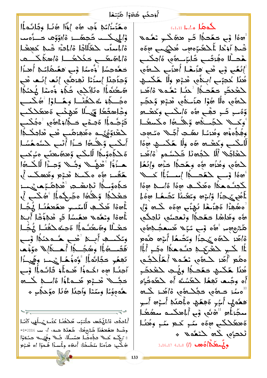أوحكَم هُوْوْا هَبْتِهَا

مَغَّنُّنُّكُمْ وَّدِ ۞ُهِ إِيُّهُ ۖ وَقَالَ وَجَانُـهِ أَ وْْلِيحْسَد خَجعُفَ: هْ/اوْوَّى حَسَّرُه مِد ة/لمحرًب حكَّلابْدا ة/لمحرَّا خْمِع كععفْ ا حَمَّهَجِمًا أَوُّمِمًا وَّبٍ هَمَّمُائِكِ أَهْوَّا وَّجِلَجِنَا إِسْتَمَا نَعِزِهُم إِنَّمَا إِنَّمَا هُـِ هَ عُنُدًا وَنُاأَكِمٍ خُكِّوْ وُوسْا لُحِبُكِ ا ەجُـــكٖو مُّەحْفُنْــا وِهُــاوْا ۚ هُكْســو وجْاهتَعُا يِّي الْمَاهَمْبِ هُمعَكَكَب ثَّرُجُــه أَا هَجــهُــع ضَلَافُـاهُ٥ ۚ هجُكْـب لِكَمْلَوَّىُّے مَعْجَزِهَٰبِ ثَبِي مُعَلِّجِدِيَّا الْمَرْجَعَةِ مِنْ أَمكْبِ وَجَدْهُا حَـزًا أَنْبِ حَسَّمَعُسًا. ەَـٰـٰٰٰٰٰٰٓٓٓٓٓہُوۡہُدًا لَّاَـنُّـٰبِ وَۡمِہٗ عَمَیۡہٖ ہ مُہۡ کُنب هَـٰٓزُوۡۢا ۚ ثَدۡهُـُــلا ۖ وَجُــلا وَجِــٰٓزَا لَّاـحُــٰدِهَٰا ۖ هَقَم: ۞ُه هكْمَنا هْـيْم وَهُعمَكْـم لْ مَسْرِزٌ مِهْدَهُمْ أَهْلِهُمْ عَلَيْهِمْ يَهْمَدُونَ مِنْ الْجُمْعَةِ مِنْ مَنْ حَفَّلْجُلَّ وَّلِحُدُّهَا هَجُرِيُّهَ إِلَّا هُكْبٍ ﴾ أُهوْا هُكْــهِ لْاَمْمَــٰرِ هِمُعِمُنُـا هُجُـا أَ30\$ وَعْقُدِ لِا هَمَسُل فَي قَدِمْ وَقَالَ أَبْدَ حَشْـلًا وهُـعُنـُـملًا هُجِـثَه حَـٰفُـُـل لُمِجُـل وْكْمْـــــــهِ أَيْــَــٰمْ آَمْـــِي حُــَـــٰمَـدْبُدُا وْٓـــبِ َفَقَىـــِهُ أَلِ وَهُجُـــدًا أَحـــٰذًا لا هَوَٰٓوْحَــ لَجْعُدِ حَجَّائُه\$ا ۚ وَۚ وَقُحُـا يُحِــزَ وَهَيْخُا أَجِئُـا وو بِكُـوزًا هُـونًا وَ قَائَـويًا وَْبِ حَجَّـــلا مْحَــرْم مُحَــوْا وُا مُاسِـــمِ كُــــم هُدوؤُمُا ومِمُمْا وَأَجِبُا هُ لَا دَوِّحِلَّهِ \*

 $\sim$   $\frac{1}{\sqrt{2}}$ أَادِدْت وْالْمُحَمْدِ حَلَّتَ وَ هُكْفُنَا كَنَبَ رَبِّ أَوْنَ الْأَسَّارِ وضْهِ هُمُعِمُنُا جُرِّهِ هُلْ: جُمِيَهِ جِيمَ: }: بِ 2016-1-ة رُجِّــه حُـــلا مؤُوضًــل مثبـــلًا، شَــلا وفُيّــلا مئــّةوْا هُكَّبٍ: هزُّه، ُا مَّصُحُا: أَبِهُه وِأَسِـرًا فَـهوُا أَه هُـرْم

## **گوهُل مايل 4.1.11**

دَهُ الْمِنْ وَسَمْحَمَلِكُمْ مَعْ اللَّهُ مِنْ  $\delta$  مَدَ $\mu$ ضُمْ أَوْثَداً أَكْتُمُوْهِ مِنْ مُحْكَمُهِمْ وَهُهَ هْجِبْلَا ەفْرْتَىپ خُلْيَ مِهُى ەُلْمِكْت أَلْعٌبِ فَى شَي ٰ فَنُسْأَ أُهنَّبِ كَـ هُوَ هُنُا خُجَّبٍ ابْخُمْ هُـْءِم وَلًا هَكْسِهِ لحفَدحُمٍ حَمَّدَجُلاً يَمُداً يَمُّدِينَ وَأَمَّدَ لِحْجَى وَلَا هُوْا هِنَمْكُو هُـَمْ وَحَجَم وَّەُمب كُب تِفْع ۞ُه ەَامْكُمع وكَنْفُتُ ُوكْنِيْلا لِلْجُمْسَةُ وَكُلُّوهُ وَكَلْمُعْنَا وَفِّدُونُو وَهُزِيَا بِعَيْبِ أَضَلَا وَيُــوَبِ لْلَّكْبِ وَكَعْدُهِ هَهِ وَلَا هَكْسُنِي هِهَا لِحْفَاجُلا أَلَّا لِحَجُوهِ لَا خَجْسُومٍ ۚ هَٰاهُـٰ; لِهُ وَهُدُوهِ وَهُوَ وَهُدَاً دَٰرُهِ وَإِنْعُا أهها وْبِ حَمْدِيْهِ إِسْرَبُوا بْمَكْلَا كْجِبُّە هَذَا هَ هُكْسِ ﴾ [ه أمله عمراً مَنْ الْمُحِمَّدُ وَجُمَّا أَهُم لَهُمْ إِلَيْهِ وَعَعَْمَا عَصَمًا هِ وَاءِ أَهِهُوَٰٓا هُجَّنُـهَا نُهْبُو هِهَهِ كُــُهِ وَۚ هُه وِهَٰاهُا حَمَّحَهُا وِنُعتَسُهِ نَاجِكُم هُتَرُهِ وَمَا وَقَى مُبَرِيدٍ هُمَنْ مُحَمَّدِهِ وَمَا مِنْهُمْ ةُاهَٰ: ﴿هُوَ يُحِبُّوا وَيُشَمُّلُ أَيْرُهِ هَٰوَمٍ لَمَا لَكَــِدٍ لِكَفَرِكَـِــِمِ مَتَــَمِـعَـٰمَا وَجَــِ أَلَمِمَا ههُمْ أَهْدَ لِحَدِّهُمِ يُعْتَمِيا أَجَلَٰلِكَجْمٍ هُنُا هَكُمِهِ حَهُدِيُّا وَيُرِ حَقْدَهُ. أُه وجَّى نَجْعًا لِكَمُنَتَه أَه لِكَعُوثَةٍ ۖ أَهِ مُمْ : حَدَّثُمْ مِنْكُمْ هُمْ وَالْكُمْ وَلَكُمْ لَكُمْ مِنْ َهِمُّهل أُبُرِ هُهِمْهِ هِلْعِنَٰهِ أُبُرْه أُبِي  $\overleftrightarrow{\lambda}$ مجْتَلُه  $\overleftrightarrow{\omega}$  مَهْ $\overleftrightarrow{\omega}$  مَا مِنْ مَعْتَدَ ەُھكَكْكَبِ 500 مَّبِ كَـْمِ مَّبِ وَهُنَّا تَدعَّى كُهَ كَمْعُهَ \* 3.16.17 4.1.8 (1)  $\cos(\hat{\Lambda}\simeq \hat{\Lambda})$